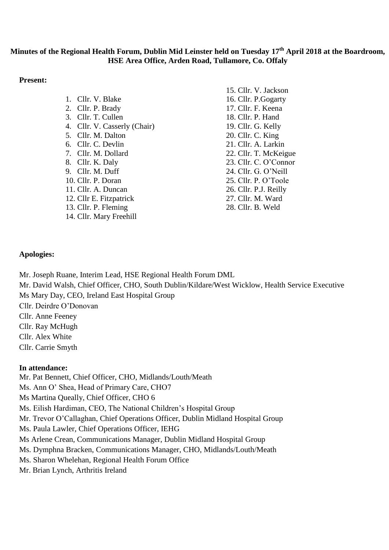# **Minutes of the Regional Health Forum, Dublin Mid Leinster held on Tuesday 17th April 2018 at the Boardroom, HSE Area Office, Arden Road, Tullamore, Co. Offaly**

#### **Present:**

|                              | 15. Cllr. V. Jackson  |
|------------------------------|-----------------------|
| 1. Cllr. V. Blake            | 16. Cllr. P. Gogarty  |
| 2. Cllr. P. Brady            | 17. Cllr. F. Keena    |
| 3. Cllr. T. Cullen           | 18. Cllr. P. Hand     |
| 4. Cllr. V. Casserly (Chair) | 19. Cllr. G. Kelly    |
| 5. Cllr. M. Dalton           | 20. Cllr. C. King     |
| 6. Cllr. C. Devlin           | 21. Cllr. A. Larkin   |
| 7. Cllr. M. Dollard          | 22. Cllr. T. McKeigue |
| 8. Cllr. K. Daly             | 23. Cllr. C. O'Connor |
| 9. Cllr. M. Duff             | 24. Cllr. G. O'Neill  |
| 10. Cllr. P. Doran           | 25. Cllr. P. O'Toole  |
| 11. Cllr. A. Duncan          | 26. Cllr. P.J. Reilly |
| 12. Cllr E. Fitzpatrick      | 27. Cllr. M. Ward     |
| 13. Cllr. P. Fleming         | 28. Cllr. B. Weld     |

### **Apologies:**

Mr. Joseph Ruane, Interim Lead, HSE Regional Health Forum DML

14. Cllr. Mary Freehill

Mr. David Walsh, Chief Officer, CHO, South Dublin/Kildare/West Wicklow, Health Service Executive Ms Mary Day, CEO, Ireland East Hospital Group

Cllr. Deirdre O'Donovan

Cllr. Anne Feeney

Cllr. Ray McHugh

Cllr. Alex White

Cllr. Carrie Smyth

### **In attendance:**

Mr. Pat Bennett, Chief Officer, CHO, Midlands/Louth/Meath Ms. Ann O' Shea, Head of Primary Care, CHO7 Ms Martina Queally, Chief Officer, CHO 6 Ms. Eilish Hardiman, CEO, The National Children's Hospital Group Mr. Trevor O'Callaghan, Chief Operations Officer, Dublin Midland Hospital Group Ms. Paula Lawler, Chief Operations Officer, IEHG Ms Arlene Crean, Communications Manager, Dublin Midland Hospital Group Ms. Dymphna Bracken, Communications Manager, CHO, Midlands/Louth/Meath Ms. Sharon Whelehan, Regional Health Forum Office Mr. Brian Lynch, Arthritis Ireland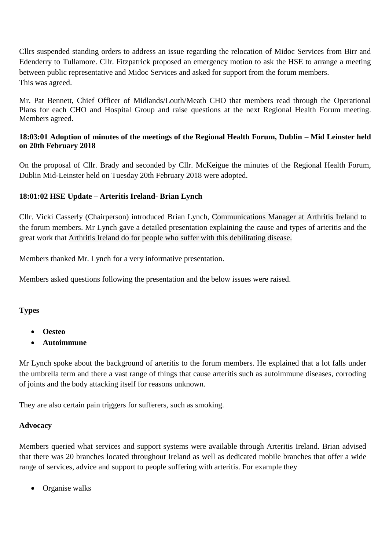Cllrs suspended standing orders to address an issue regarding the relocation of Midoc Services from Birr and Edenderry to Tullamore. Cllr. Fitzpatrick proposed an emergency motion to ask the HSE to arrange a meeting between public representative and Midoc Services and asked for support from the forum members. This was agreed.

Mr. Pat Bennett, Chief Officer of Midlands/Louth/Meath CHO that members read through the Operational Plans for each CHO and Hospital Group and raise questions at the next Regional Health Forum meeting. Members agreed.

## **18:03:01 Adoption of minutes of the meetings of the Regional Health Forum, Dublin – Mid Leinster held on 20th February 2018**

On the proposal of Cllr. Brady and seconded by Cllr. McKeigue the minutes of the Regional Health Forum, Dublin Mid-Leinster held on Tuesday 20th February 2018 were adopted.

## **18:01:02 HSE Update – Arteritis Ireland- Brian Lynch**

Cllr. Vicki Casserly (Chairperson) introduced Brian Lynch, Communications Manager at Arthritis Ireland to the forum members. Mr Lynch gave a detailed presentation explaining the cause and types of arteritis and the great work that Arthritis Ireland do for people who suffer with this debilitating disease.

Members thanked Mr. Lynch for a very informative presentation.

Members asked questions following the presentation and the below issues were raised.

### **Types**

- **Oesteo**
- **Autoimmune**

Mr Lynch spoke about the background of arteritis to the forum members. He explained that a lot falls under the umbrella term and there a vast range of things that cause arteritis such as autoimmune diseases, corroding of joints and the body attacking itself for reasons unknown.

They are also certain pain triggers for sufferers, such as smoking.

#### **Advocacy**

Members queried what services and support systems were available through Arteritis Ireland. Brian advised that there was 20 branches located throughout Ireland as well as dedicated mobile branches that offer a wide range of services, advice and support to people suffering with arteritis. For example they

• Organise walks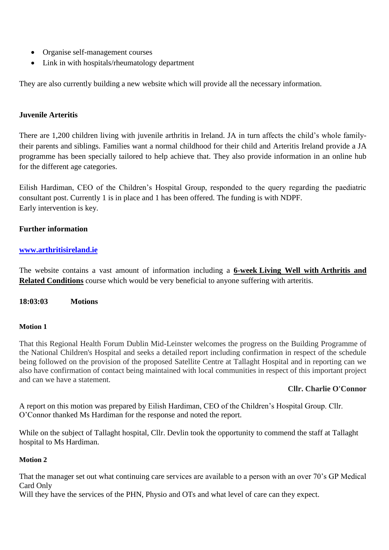- Organise self-management courses
- Link in with hospitals/rheumatology department

They are also currently building a new website which will provide all the necessary information.

### **Juvenile Arteritis**

There are 1,200 children living with juvenile arthritis in Ireland. JA in turn affects the child's whole familytheir parents and siblings. Families want a normal childhood for their child and Arteritis Ireland provide a JA programme has been specially tailored to help achieve that. They also provide information in an online hub for the different age categories.

Eilish Hardiman, CEO of the Children's Hospital Group, responded to the query regarding the paediatric consultant post. Currently 1 is in place and 1 has been offered. The funding is with NDPF. Early intervention is key.

## **Further information**

### **[www.arthritisireland.ie](http://www.arthritisireland.ie/)**

The website contains a vast amount of information including a **6-week Living Well with Arthritis and Related Conditions** course which would be very beneficial to anyone suffering with arteritis.

**18:03:03 Motions**

### **Motion 1**

That this Regional Health Forum Dublin Mid-Leinster welcomes the progress on the Building Programme of the National Children's Hospital and seeks a detailed report including confirmation in respect of the schedule being followed on the provision of the proposed Satellite Centre at Tallaght Hospital and in reporting can we also have confirmation of contact being maintained with local communities in respect of this important project and can we have a statement.

### **Cllr. Charlie O'Connor**

A report on this motion was prepared by Eilish Hardiman, CEO of the Children's Hospital Group. Cllr. O'Connor thanked Ms Hardiman for the response and noted the report.

While on the subject of Tallaght hospital, Cllr. Devlin took the opportunity to commend the staff at Tallaght hospital to Ms Hardiman.

### **Motion 2**

That the manager set out what continuing care services are available to a person with an over 70's GP Medical Card Only

Will they have the services of the PHN, Physio and OTs and what level of care can they expect.